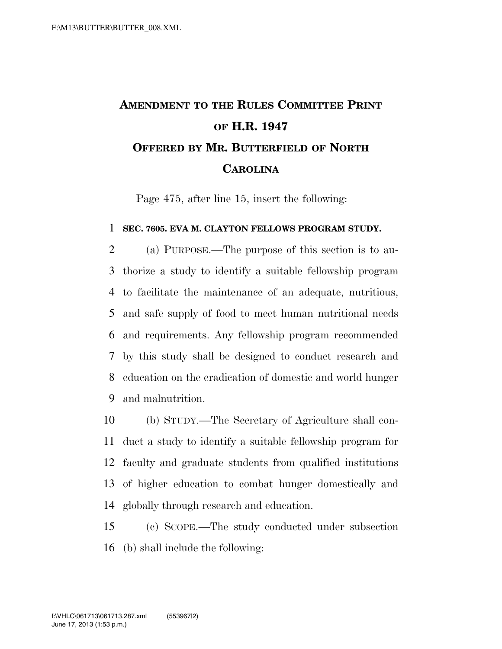## **AMENDMENT TO THE RULES COMMITTEE PRINT OF H.R. 1947 OFFERED BY MR. BUTTERFIELD OF NORTH CAROLINA**

Page 475, after line 15, insert the following:

## **SEC. 7605. EVA M. CLAYTON FELLOWS PROGRAM STUDY.**

 (a) PURPOSE.—The purpose of this section is to au- thorize a study to identify a suitable fellowship program to facilitate the maintenance of an adequate, nutritious, and safe supply of food to meet human nutritional needs and requirements. Any fellowship program recommended by this study shall be designed to conduct research and education on the eradication of domestic and world hunger and malnutrition.

 (b) STUDY.—The Secretary of Agriculture shall con- duct a study to identify a suitable fellowship program for faculty and graduate students from qualified institutions of higher education to combat hunger domestically and globally through research and education.

 (c) SCOPE.—The study conducted under subsection (b) shall include the following: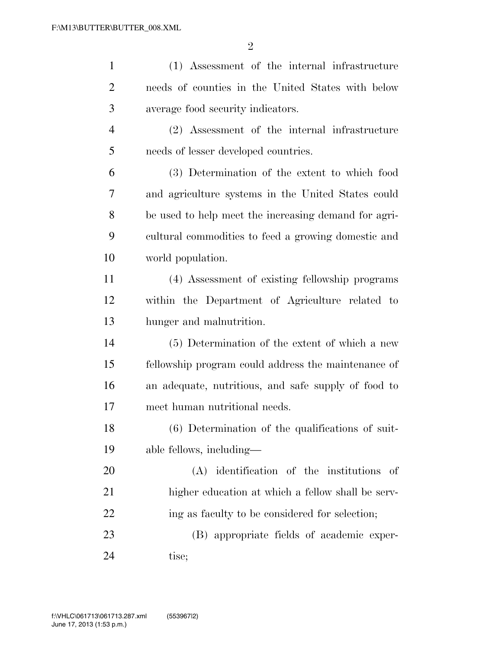| $\mathbf{1}$   | (1) Assessment of the internal infrastructure        |
|----------------|------------------------------------------------------|
| $\overline{2}$ | needs of counties in the United States with below    |
| 3              | average food security indicators.                    |
| $\overline{4}$ | (2) Assessment of the internal infrastructure        |
| 5              | needs of lesser developed countries.                 |
| 6              | (3) Determination of the extent to which food        |
| 7              | and agriculture systems in the United States could   |
| 8              | be used to help meet the increasing demand for agri- |
| 9              | cultural commodities to feed a growing domestic and  |
| 10             | world population.                                    |
| 11             | (4) Assessment of existing fellowship programs       |
| 12             | within the Department of Agriculture related to      |
| 13             | hunger and malnutrition.                             |
| 14             | (5) Determination of the extent of which a new       |
| 15             | fellowship program could address the maintenance of  |
| 16             | an adequate, nutritious, and safe supply of food to  |
| 17             | meet human nutritional needs.                        |
| 18             | (6) Determination of the qualifications of suit-     |
| 19             | able fellows, including—                             |
| 20             | (A) identification of the institutions<br>-of        |
| 21             | higher education at which a fellow shall be serv-    |
| 22             | ing as faculty to be considered for selection;       |
| 23             | (B) appropriate fields of academic exper-            |
| 24             | tise;                                                |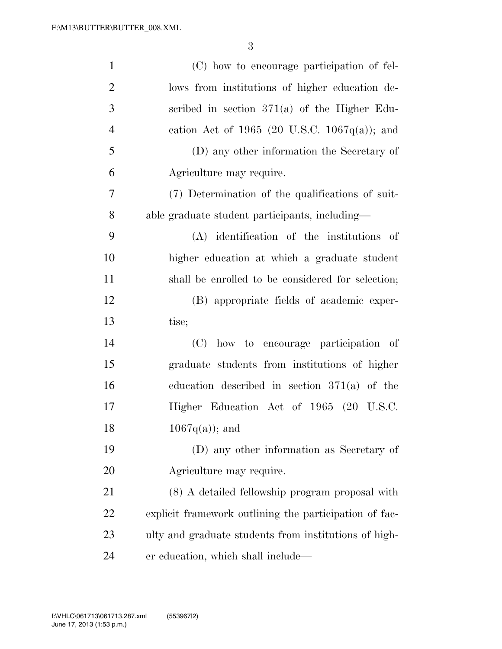| $\mathbf{1}$   | (C) how to encourage participation of fel-             |
|----------------|--------------------------------------------------------|
| $\overline{2}$ | lows from institutions of higher education de-         |
| 3              | scribed in section $371(a)$ of the Higher Edu-         |
| $\overline{4}$ | cation Act of 1965 (20 U.S.C. 1067 $q(a)$ ); and       |
| 5              | (D) any other information the Secretary of             |
| 6              | Agriculture may require.                               |
| 7              | (7) Determination of the qualifications of suit-       |
| 8              | able graduate student participants, including—         |
| 9              | $(A)$ identification of the institutions of            |
| 10             | higher education at which a graduate student           |
| 11             | shall be enrolled to be considered for selection;      |
| 12             | (B) appropriate fields of academic exper-              |
| 13             | tise;                                                  |
| 14             | (C) how to encourage participation of                  |
| 15             | graduate students from institutions of higher          |
| 16             | education described in section $371(a)$ of the         |
| 17             | Higher Education Act of 1965 (20 U.S.C.                |
| 18             | $1067q(a)$ ; and                                       |
| 19             | (D) any other information as Secretary of              |
| 20             | Agriculture may require.                               |
| 21             | (8) A detailed fellowship program proposal with        |
| 22             | explicit framework outlining the participation of fac- |
| 23             | ulty and graduate students from institutions of high-  |
| 24             | er education, which shall include—                     |